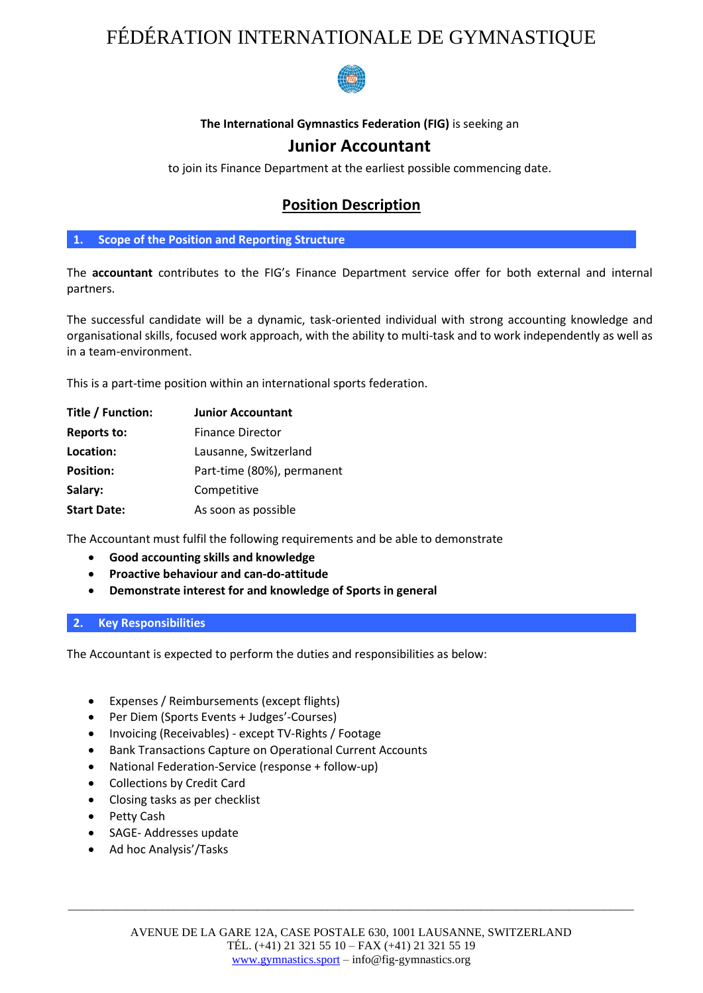## FÉDÉRATION INTERNATIONALE DE GYMNASTIQUE



### **The International Gymnastics Federation (FIG)** is seeking an

### **Junior Accountant**

to join its Finance Department at the earliest possible commencing date.

## **Position Description**

**1. Scope of the Position and Reporting Structure**

The **accountant** contributes to the FIG's Finance Department service offer for both external and internal partners.

The successful candidate will be a dynamic, task-oriented individual with strong accounting knowledge and organisational skills, focused work approach, with the ability to multi-task and to work independently as well as in a team-environment.

This is a part-time position within an international sports federation.

| Title / Function:  | <b>Junior Accountant</b>   |
|--------------------|----------------------------|
| <b>Reports to:</b> | <b>Finance Director</b>    |
| Location:          | Lausanne, Switzerland      |
| <b>Position:</b>   | Part-time (80%), permanent |
| Salary:            | Competitive                |
| <b>Start Date:</b> | As soon as possible        |

The Accountant must fulfil the following requirements and be able to demonstrate

- **Good accounting skills and knowledge**
- **Proactive behaviour and can-do-attitude**
- **Demonstrate interest for and knowledge of Sports in general**

#### **2. Key Responsibilities**

The Accountant is expected to perform the duties and responsibilities as below:

- Expenses / Reimbursements (except flights)
- Per Diem (Sports Events + Judges'-Courses)
- Invoicing (Receivables) except TV-Rights / Footage
- Bank Transactions Capture on Operational Current Accounts
- National Federation-Service (response + follow-up)
- Collections by Credit Card
- Closing tasks as per checklist
- Petty Cash
- SAGE- Addresses update
- Ad hoc Analysis'/Tasks

\_\_\_\_\_\_\_\_\_\_\_\_\_\_\_\_\_\_\_\_\_\_\_\_\_\_\_\_\_\_\_\_\_\_\_\_\_\_\_\_\_\_\_\_\_\_\_\_\_\_\_\_\_\_\_\_\_\_\_\_\_\_\_\_\_\_\_\_\_\_\_\_\_\_\_\_\_\_\_\_\_\_\_\_\_\_\_\_\_\_\_\_\_\_\_\_